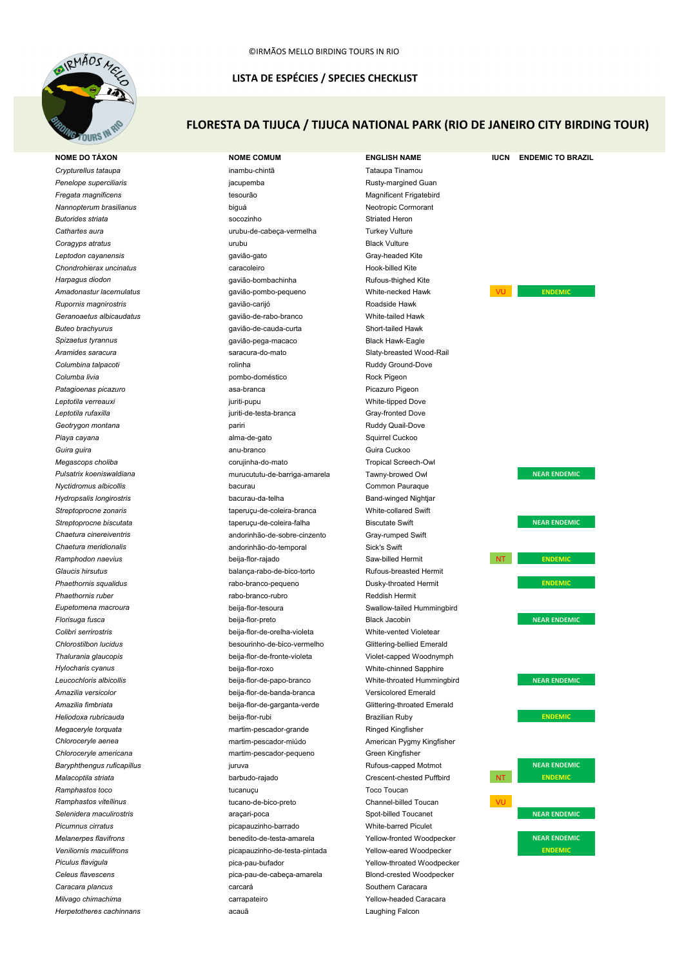

## LISTA DE ESPÉCIES / SPECIES CHECKLIST

# FLORESTA DA TIJUCA / TIJUCA NATIONAL PARK (RIO DE JANEIRO CITY BIRDING TOUR)

**NOME DO TÁXON NOME COMUM ENGLISH NAME IUCN ENDEMIC TO BRAZIL** *Crypturellus tataupa* inambu-chintã Tataupa Tinamou **Penelope superciliaris** and the state of a state is a state in the percent paragined Guan Rusty-margined Guan *Fregata magnificens* tesourão Magnificent Frigatebird *Nannopterum brasilianus* biguá Neotropic Cormorant **Butorides striata** socozinho socozinho socozinho socozinho Striated Heron *Cathartes aura* urubu-de-cabeça-vermelha Turkey Vulture **Coragyps atratus Example 2 Coragyps atratus Example 2 Coragyps atratus Example 2 Coragyps atratus Example 2 Coragyps atratus Example 2 Coragyps atratus Example 2 Coragy** *Leptodon cayanensis* gavião-gato Gray-headed Kite **Chondrohierax uncinatus** caracoleiro caracoleiro entre Hook-billed Kite *Harpagus diodon* gavião-bombachinha Rufous-thighed Kite Amadonastur lacernulatus et este establece establece que varião-pombo-pequeno et establece White-necked Hawk **VU ENDEMIC Rupornis magnirostris gavião-carijó** gavião-carijó **Roadside Hawk** Roadside Hawk *Geranoaetus albicaudatus* gavião-de-rabo-branco White-tailed Hawk *Buteo brachyurus* gavião-de-cauda-curta Short-tailed Hawk *Spizaetus tyrannus* gavião-pega-macaco Black Hawk-Eagle *Aramides saracura* saracura-do-mato Slaty-breasted Wood-Rail **Columbina talpacoti Ruddy Ground-Dove rolinha Ruddy Ground-Dove Ruddy Ground-Dove Columba livia pombo-doméstico pombo-doméstico** Rock Pigeon **Patagioenas picazuro asa-branca** asa-branca Picazuro Pigeon *Leptotila verreauxi* juriti-pupu White-tipped Dove *Leptotila rufaxilla* juriti-de-testa-branca Gray-fronted Dove **Geotrygon montana particle in the control of the particle of the control of the control of the control of the control of the control of Geotrygon montana**  $P(X|X)$ **Piaya cayana** alma-de-gato **alma-de-gato** Squirrel Cuckoo **Guira guira anu-branco** anu-branco **Guira Cuckoo Guira Cuckoo Guira Cuckoo** *Megascops choliba* corujinha-do-mato Tropical Screech-Owl *Pulsatrix koeniswaldiana* murucututu-de-barriga-amarela Tawny-browed Owl **NEAR ENDEMIC** *Nyctidromus albicollis* bacurau Common Pauraque *Hydropsalis longirostris* bacurau-da-telha Band-winged Nightjar *Streptoprocne zonaris* taperuçu-de-coleira-branca White-collared Swift **Streptoprocne biscutata** taperuçu-de-coleira-falha Biscutate Swift **NEAR ENDEMIC** *Chaetura cinereiventris* andorinhão-de-sobre-cinzento Gray-rumped Swift *Chaetura meridionalis* andorinhão-do-temporal Sick's Swift **Ramphodon naevius beija-flor-rajado** Saw-billed Hermit **NT NT ENDEMIC** *Glaucis hirsutus* balança-rabo-de-bico-torto Rufous-breasted Hermit **Phaethornis squalidus** extending the rabo-branco-pequeno contraction busky-throated Hermit extending the ENDEMIC *Phaethornis ruber* rabo-branco-rubro Reddish Hermit *Eupetomena macroura* beija-flor-tesoura Swallow-tailed Hummingbird *Florisuga fusca* beija-flor-preto Black Jacobin **NEAR ENDEMIC** *Colibri serrirostris* beija-flor-de-orelha-violeta White-vented Violetear *Chlorostilbon lucidus* besourinho-de-bico-vermelho Glittering-bellied Emerald *Thalurania glaucopis* beija-flor-de-fronte-violeta Violet-capped Woodnymph *Hylocharis cyanus* beija-flor-roxo White-chinned Sapphire *Leucochloris albicollis* beija-flor-de-papo-branco White-throated Hummingbird **NEAR ENDEMIC** *Amazilia versicolor* beija-flor-de-banda-branca Versicolored Emerald *Amazilia fimbriata* beija-flor-de-garganta-verde Glittering-throated Emerald *Heliodoxa rubricauda* beija-flor-rubi Brazilian Ruby **ENDEMIC** *Megaceryle torquata* martim-pescador-grande martim-pescador-grande Ringed Kingfisher *Chloroceryle aenea* martim-pescador-miúdo American Pygmy Kingfisher *Chloroceryle americana* martim-pescador-pequeno Green Kingfisher **Baryphthengus ruficapillus According to the COVID-COVID-COVID-COVID-COVID-COVID-COVID-COVID-COVID-COVID-COVID-COVID-COVID-COVID-COVID-COVID-COVID-COVID-COVID-COVID-COVID-COVID-COVID-COVID-COVID-COVID-COVID-COVID-COVID-C** *Malacoptila striata* barbudo-rajado Crescent-chested Puffbird NT **ENDEMIC** *Ramphastos toco* tucanuçu Toco Toucan *Ramphastos vitellinus* tucano-de-bico-preto Channel-billed Toucan VU **Selenidera maculirostris araçari-poca** araçari-poca Spot-billed Toucanet **NEAR ENDEMIC** *Picumnus cirratus* picapauzinho-barrado White-barred Piculet *Melanerpes flavifrons* benedito-de-testa-amarela Yellow-fronted Woodpecker **NEAR ENDEMIC Veniliornis maculifrons picapauzinho-de-testa-pintada** Yellow-eared Woodpecker **ENDEMIC** *Piculus flavigula* pica-pau-bufador Yellow-throated Woodpecker *Celeus flavescens* pica-pau-de-cabeça-amarela Blond-crested Woodpecker **Caracara plancus** carcará Caracara Caracara Caracara Southern Caracara *Milvago chimachima* exercise carrapateiro carrapateiro carrapateiro exercidas en Yellow-headed Caracara *Herpetotheres cachinnans* acauã Laughing Falcon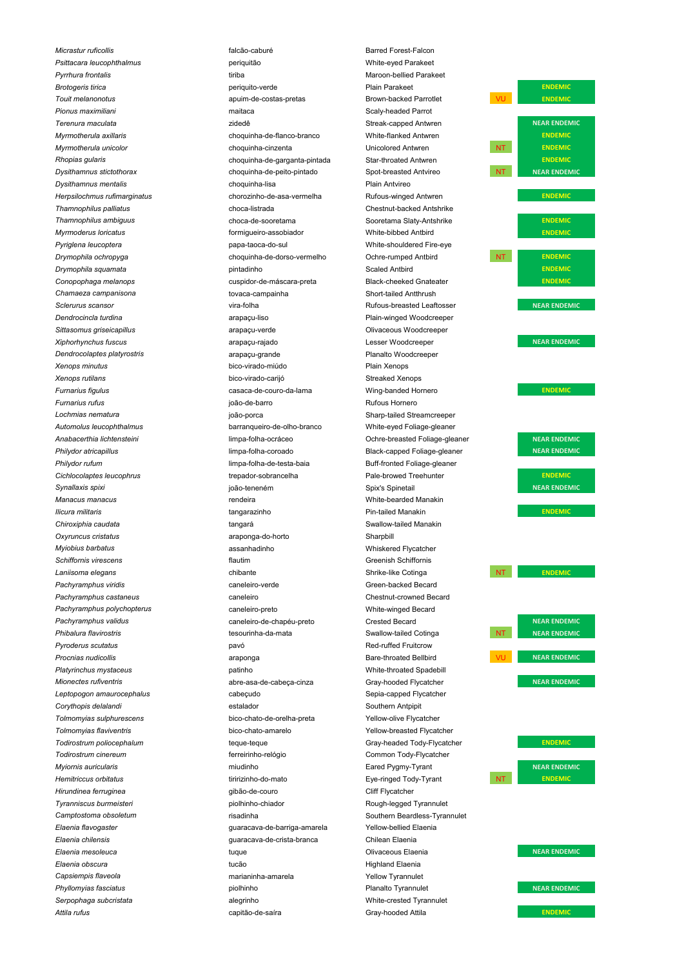*Micrastur ruficollis* **de la contracta entrarrow de la contracta entrarrow falcão-caburé de la contracta entrarrow Barred Forest-Falcon** 

*Psittacara leucophthalmus* periquitão White-eyed Parakeet **Pyrrhura frontalis** tiriba meeting the material of the time of the Maroon-bellied Parakeet *Brotogeris tirica* periquito-verde Plain Parakeet **ENDEMIC Touit melanonotus** apuim-de-costas-pretas Brown-backed Parrotlet **VU ENDEMIC** *Pionus maximiliani* maitaca Scaly-headed Parrot **Terenura maculata NEAR ENDEMIC zidedê zidedê** Streak-capped Antwren **NEAR ENDEMIC** *Myrmotherula axillaris* choquinha-de-flanco-branco White-flanked Antwren **ENDEMIC Myrmotherula unicolor** and the choquinha-cinzenta Chomos Unicolored Antwren NT **NT RENDEMIC** *Rhopias gularis* choquinha-de-garganta-pintada Star-throated Antwren **ENDEMIC Dysithamnus stictothorax** extending the choquinha-de-peito-pintado Spot-breasted Antvireo NT NT NEAR ENDEMIC *Dysithamnus mentalis* choquinha-lisa Plain Antvireo **Herpsilochmus rufimarginatus** entitled and the chorozinho-de-asa-vermelha entitled Rufous-winged Antwren **ENDEMIC** *Thamnophilus palliatus* choca-listrada Chestnut-backed Antshrike **Thamnophilus ambiguus** entity choca-de-sooretama Sooretama Slaty-Antshrike **ENDEMIC** *Myrmoderus loricatus* formigueiro-assobiador White-bibbed Antbird **ENDEMIC** Pyriglena leucoptera **papa-taoca-do-sul** papa-taoca-do-sul White-shouldered Fire-eye **Drymophila ochropyga** external choquinha-de-dorso-vermelho Cohre-rumped Antbird NT **NT ENDEMIC Drymophila squamata** and **pintadinho COVID-10** and Scaled Antbird **ENDEMIC ENDEMIC** *Conopophaga melanops* cuspidor-de-máscara-preta Black-cheeked Gnateater **ENDEMIC** *Chamaeza campanisona* tovaca-campainha Short-tailed Antthrush **Sclerurus scansor NEAR ENDEMIC** vira-folha vira-folha Rufous-breasted Leaftosser **NEAR ENDEMIC** *Dendrocincla turdina* arapaçu-liso Plain-winged Woodcreeper **Sittasomus griseicapillus** and arapaçu-verde **arapaçu-verde** Clivaceous Woodcreeper *Xiphorhynchus fuscus* arapaçu-rajado Lesser Woodcreeper **NEAR ENDEMIC** *Dendrocolaptes platyrostris* arapaçu-grande Planalto Woodcreeper *Xenops minutus* bico-virado-miúdo Plain Xenops *Xenops rutilans* bico-virado-carijó Streaked Xenops *Furnarius figulus* casaca-de-couro-da-lama Wing-banded Hornero **ENDEMIC Furnarius rufus Furnarius** rufus **de late extendio entrario en la contrario en la contrario en la contrario Rufous Hornero** *Lochmias nematura* joão-porca Sharp-tailed Streamcreeper *Automolus leucophthalmus* barranqueiro-de-olho-branco White-eyed Foliage-gleaner *Anabacerthia lichtensteini* limpa-folha-ocráceo Ochre-breasted Foliage-gleaner **NEAR ENDEMIC Philydor atricapillus arrival attitude in the set of the set of the set of the set of the set of the set of the set of the set of the set of the set of the set of the set of the set of the set of the set of the set of t** Philydor rufum **indical contract and the set of the set of the set of the set of the limpa-folha-de-testa-baia** Buff-fronted Foliage-gleaner *Cichlocolaptes leucophrus* trepador-sobrancelha Pale-browed Treehunter **ENDEMIC** *Synallaxis spixi* joão-teneném Spix's Spinetail **NEAR ENDEMIC** *Manacus manacus* rendeira White-bearded Manakin **Ilicura militaris The Contract Contract Contract Contract Contract Contract Contract Contract Contract Contract Contract Contract Contract Contract Contract Contract Contract Contract Contract Contract Contract Contract** *Chiroxiphia caudata* tangará Swallow-tailed Manakin *Oxyruncus cristatus* araponga-do-horto Sharpbill *Myiobius barbatus* assanhadinho and Whiskered Flycatcher and Whiskered Flycatcher *Schiffornis virescens* flautim Greenish Schiffornis **Laniisoma elegans chibante** Chibante Shrike-like Cotinga NT **NT ENDEMIC** Pachyramphus viridis **Caneleiro-verde** Caneleiro-verde Caneleiro-verde Green-backed Becard Pachyramphus castaneus **caneleiro** caneleiro **Chestnut-crowned Becard** *Pachyramphus polychopterus* caneleiro-preto White-winged Becard *Pachyramphus validus* caneleiro-de-chapéu-preto Crested Becard **NEAR ENDEMIC Phibalura flavirostris tesourinha-da-mata** Swallow-tailed Cotinga NT NEAR ENDEMIC Pyroderus scutatus **pavó** pavó **pavó** pavó Red-ruffed Fruitcrow **Procnias nudicollis** araponga arraponga Bare-throated Bellbird **VU NEAR ENDEMIC** *Platyrinchus mystaceus* patinho White-throated Spadebill **Mionectes rufiventris abre-asa-de-cabeça-cinza** Gray-hooded Flycatcher **COVID AGRENTIC** Leptopogon amaurocephalus **cabeçudo** cabeçudo Sepia-capped Flycatcher **Corythopis delalandi** estalador estalador estalador estalador estalador estalador estalador estalador estalador estalador estalador estalador estalador estalador estalador estalador estalador estalador estalador estalador *Tolmomyias sulphurescens* bico-chato-de-orelha-preta Yellow-olive Flycatcher *Tolmomyias flaviventris* bico-chato-amarelo Yellow-breasted Flycatcher **Todirostrum poliocephalum ENDEMIC** teque-teque **ENDEMIC** Gray-headed Tody-Flycatcher **ENDEMIC** *Todirostrum cinereum* ferreirinho-relógio Common Tody-Flycatcher *Myiornis auricularis* **Muller and Aller Contract Contract Contract Contract Contract Contract Contract Contract Contract Contract Contract Contract Contract Contract Contract Contract Contract Contract Contract Contract C Hemitriccus orbitatus ENDEMIC** tiririzinho-do-mato **Exe-ringed Tody-Tyrant** NT **NT ENDEMIC** *Hirundinea ferruginea* entre establece establece establece establece establece establece establece establece establece establece establece establece establece establece establece establece establece establece establece es *Tyranniscus burmeisteri* etteri termiscus piolhinho-chiador and announced Rough-legged Tyrannulet **Camptostoma obsoletum** risadinha risadinha Southern Beardless-Tyrannulet *Elaenia flavogaster* guaracava-de-barriga-amarela Yellow-bellied Elaenia *Elaenia chilensis* guaracava-de-crista-branca Chilean Elaenia *Elaenia mesoleuca* **este en un provident de la este en un eleccional de la enfanta de la enfanta de la enfanta de la enfanta de la enfanta de la enfanta de la enfanta de la enfanta de la enfanta de la enfanta de la enfan** *Elaenia obscura* tucão Highland Elaenia *Capsiempis flaveola* marianinha-amarela Yellow Tyrannulet **Phyllomyias fasciatus piolhinho** piolhinho **Planalto Tyrannulet Planalto Tyrannulet Planalto Tyrannulet Planalto Tyrannulet Planalto Tyrannulet Planalto Tyrannulet Planalto Tyrannulet Planalto Tyrannulet** *Serpophaga subcristata* alegrinho White-crested Tyrannulet

*Attila rufus* capitão-de-saíra Gray-hooded Attila **ENDEMIC**

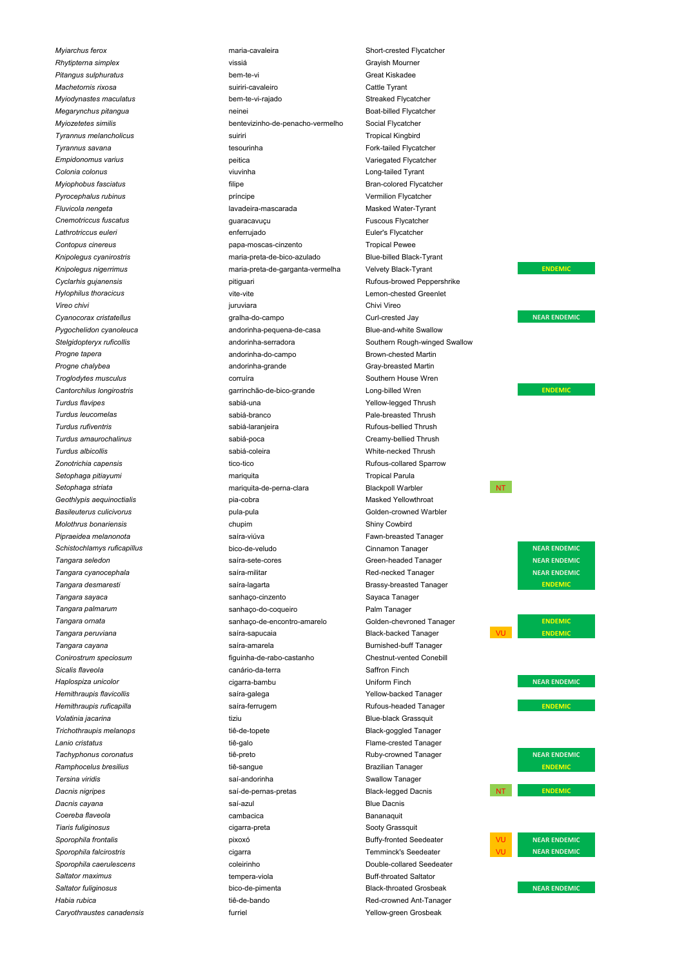*Myiarchus ferox* **maria-cavaleira** maria-cavaleira Short-crested Flycatcher **Rhytipterna simplex vissiá** vissiá Grayish Mourner *Pitangus sulphuratus* bem-te-vi Great Kiskadee *Machetornis rixosa* suiriri-cavaleiro Cattle Tyrant Myiodynastes maculatus **bem-te-vi-rajado bem-te-vi-rajado** Streaked Flycatcher **Megarynchus pitangua** neinei **Boat-billed Flycatcher Megarynchus pitangua** neinei **Boat-billed Flycatcher** *Myiozetetes similis* bentevizinho-de-penacho-vermelho Social Flycatcher **Tyrannus melancholicus** and the suiriri suiriri the suiriri Tropical Kingbird Suiriri Tropical Kingbird **Tyrannus savana** Tyrannus savana tesourinha **tesourinha Fork-tailed Flycatcher Fork-tailed Flycatcher** *Empidonomus varius* peitica Variegated Flycatcher *Colonia colonus* viuvinha Long-tailed Tyrant *Myiophobus fasciatus* **Example 20** filipe **the example of the Bran-colored Flycatcher Bran-colored Flycatcher** Pyrocephalus rubinus and a second príncipe contract of vermilion Flycatcher *Fluvicola nengeta* lavadeira-mascarada Masked Water-Tyrant **Cnemotriccus fuscatus Exercise 3 and Secure 1 and Secure 1 and Secure 2 and Secure 2 and Secure 2 and Secure 2 and Secure 2 and Secure 2 and Secure 2 and Secure 2 and Secure 2 and Secure 2 and Secure 2 and Secure 2 and** Lathrotriccus euleri **enferrujado** enferrujado **enferrujado** Euler's Flycatcher **Contopus cinereus contopus** cinereus **papa-moscas-cinzento Tropical Pewee** *Knipolegus cyanirostris* maria-preta-de-bico-azulado Blue-billed Black-Tyrant *Knipolegus nigerrimus* maria-preta-de-garganta-vermelha Velvety Black-Tyrant **ENDEMIC Cyclarhis gujanensis** and the pitiguari pitiguari Rufous-browed Peppershrike *Hylophilus thoracicus* and the vite-vite vite-vite controller wite-vite and the controller extend Greenlet *Vireo chivi* juruviara Chivi Vireo **Cyanocorax cristatellus** extending the synchromograph of the campo curl-crested Jay curl-crested Jay **NEAR ENDEMIC** Pygochelidon cyanoleuca **andorinha-pequena-de-casa** Blue-and-white Swallow **Stelgidopteryx ruficollis** andorinha-serradora Southern Rough-winged Swallow *Progne tapera* andorinha-do-campo Brown-chested Martin **Progne chalybea** and and and and and and and and a set of the Gray-breasted Martin **Troglodytes musculus** Corruíra Corruíra Corruíra Corruíra Corruíra Corruíra Corruíra Corruíra Corruíra Corruíra Corruíra Corruíra Corruíra Corruíra Corruíra Corruíra Corruíra Corruíra Corruíra Corruíra Corruíra Corruíra C **Cantorchilus longirostris** entre a supercontracterism contracted contracted contracted contracted Conduction Contracted Conduction of the entrepreneur contracted contracted contracted contracted contracted contracted cont *Turdus flavipes* sabiá-una Yellow-legged Thrush **Turdus leucomelas sabiá-branco** sabiá-branco **Pale-breasted Thrush** *Turdus rufiventris* sabiá-laranjeira Rufous-bellied Thrush *Turdus amaurochalinus* sabiá-poca Creamy-bellied Thrush *Turdus albicollis* sabiá-coleira White-necked Thrush *Zonotrichia capensis* tico-tico Rufous-collared Sparrow *Setophaga pitiayumi* mariquita Tropical Parula **Setophaga striata** mariquita-de-perna-clara **Mariquita-de-perna-clara** Blackpoll Warbler MT Geothlypis aequinoctialis and the state of the pia-cobra metal of the Masked Yellowthroat of the Masked Yellowthroat **Basileuterus culicivorus** and the pula-pula pula-pula Colden-crowned Warbler *Molothrus bonariensis* chupim Shiny Cowbird Pipraeidea melanonota **Familia Como esta contra el seu el saíra-viúva** Familia Externa Fawn-breasted Tanager **Schistochlamys ruficapillus bico-de-veludo Cinnamon Tanager <b>NEAR ENDEMIC Tangara seledon Saíra-sete-cores** Saíra-sete-cores Green-headed Tanager **NEAR ENDEMIC Tangara cyanocephala** saíra-militar saíra-militar Red-necked Tanager **NEAR ENDEMIC** *Tangara desmaresti* saíra-lagarta Brassy-breasted Tanager **ENDEMIC** *Tangara sayaca* sanhaço-cinzento Sayaca Tanager *Tangara palmarum* sanhaço-do-coqueiro Palm Tanager *Tangara ornata* sanhaço-de-encontro-amarelo Golden-chevroned Tanager **ENDEMIC Tangara peruviana** sa sa saíra-sapucaia sa safra-sapucaia Black-backed Tanager sa sa sa sa san ENDEMIC **Tangara cayana** saíra-amarela saíra-amarela Burnished-buff Tanager *Conirostrum speciosum* figuinha-de-rabo-castanho Chestnut-vented Conebill *Sicalis flaveola* canário-da-terra Saffron Finch *Haplospiza unicolor* cigarra-bambu Uniform Finch **NEAR ENDEMIC** *Hemithraupis flavicollis* extending the safra-galega contract and the Yellow-backed Tanager **Hemithraupis ruficapilla Saíra-ferrugem Communication Rufous-headed Tanager <b>ENDEMIC** *Volatinia jacarina* tiziu Blue-black Grassquit Trichothraupis melanops **tig-to-topete** tie-de-topete by the Black-goggled Tanager *Lanio cristatus* tiê-galo Flame-crested Tanager **Tachyphonus coronatus Example 20 Tachyphonus coronatus NEAR ENDEMIC tiê-preto Consumer Account Consumer Consumer Account Consumer Account Consumer Account Consumer Account Consumer Account Consumer Account Consume** *Ramphocelus bresilius* tiê-sangue Brazilian Tanager **ENDEMIC Tersina viridis Superint State State Swallow Tanager** Swallow Tanager **Swallow Tanager** Swallow Tanager **Dacnis nigripes Saí-de-pernas-pretas** Black-legged Dacnis **NT NT ENDEMIC Dacnis cayana** saí-azul Blue Dacnis **Cayana** saí-azul **Blue Dacnis** saí-azul *Coereba flaveola* cambacica Bananaquit *Tiaris fuliginosus* cigarra-preta Sooty Grassquit **Sporophila frontalis pixoxó** pixoxó **Buffy-fronted Seedeater** VU **NEAR ENDEMIC Sporophila falcirostris CONTEX 1988 CONTEX CONTRACT CONTRACT CONTRACT TEMMINCK'S Seedeater CONTEXT CONTRACT NEAR ENDEMIC Sporophila caerulescens** and the coleirinho coleirinho **Coleirinho** Double-collared Seedeater **Saltator maximus Saltator maximus Example 10** imaging tempera-viola **Buff-throated Saltator Buff-throated Saltator Saltator fuliginosus bico-de-pimenta Black-throated Grosbeak <b>NEAR ENDEMIC** *Habia rubica* tiê-de-bando Red-crowned Ant-Tanager **Caryothraustes canadensis component Caryothraustes canadensis Vellow-green Grosbeak**